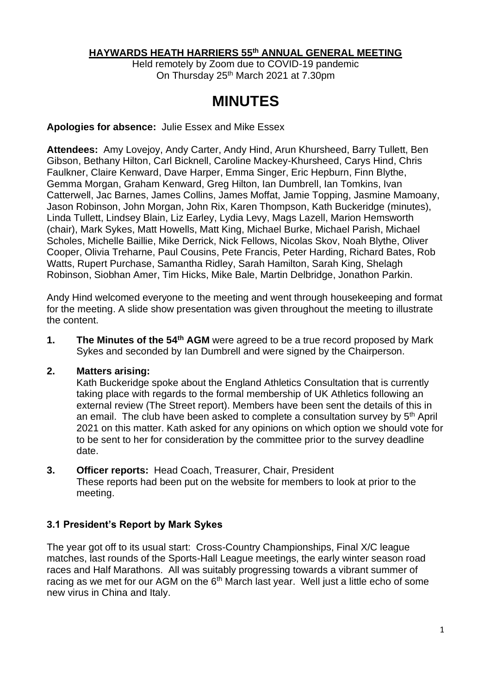#### **HAYWARDS HEATH HARRIERS 55 th ANNUAL GENERAL MEETING**

Held remotely by Zoom due to COVID-19 pandemic On Thursday 25<sup>th</sup> March 2021 at 7.30pm

# **MINUTES**

#### **Apologies for absence:** Julie Essex and Mike Essex

**Attendees:** Amy Lovejoy, Andy Carter, Andy Hind, Arun Khursheed, Barry Tullett, Ben Gibson, Bethany Hilton, Carl Bicknell, Caroline Mackey-Khursheed, Carys Hind, Chris Faulkner, Claire Kenward, Dave Harper, Emma Singer, Eric Hepburn, Finn Blythe, Gemma Morgan, Graham Kenward, Greg Hilton, Ian Dumbrell, Ian Tomkins, Ivan Catterwell, Jac Barnes, James Collins, James Moffat, Jamie Topping, Jasmine Mamoany, Jason Robinson, John Morgan, John Rix, Karen Thompson, Kath Buckeridge (minutes), Linda Tullett, Lindsey Blain, Liz Earley, Lydia Levy, Mags Lazell, Marion Hemsworth (chair), Mark Sykes, Matt Howells, Matt King, Michael Burke, Michael Parish, Michael Scholes, Michelle Baillie, Mike Derrick, Nick Fellows, Nicolas Skov, Noah Blythe, Oliver Cooper, Olivia Treharne, Paul Cousins, Pete Francis, Peter Harding, Richard Bates, Rob Watts, Rupert Purchase, Samantha Ridley, Sarah Hamilton, Sarah King, Shelagh Robinson, Siobhan Amer, Tim Hicks, Mike Bale, Martin Delbridge, Jonathon Parkin.

Andy Hind welcomed everyone to the meeting and went through housekeeping and format for the meeting. A slide show presentation was given throughout the meeting to illustrate the content.

**1.** The Minutes of the 54<sup>th</sup> AGM were agreed to be a true record proposed by Mark Sykes and seconded by Ian Dumbrell and were signed by the Chairperson.

#### **2. Matters arising:**

Kath Buckeridge spoke about the England Athletics Consultation that is currently taking place with regards to the formal membership of UK Athletics following an external review (The Street report). Members have been sent the details of this in an email. The club have been asked to complete a consultation survey by 5<sup>th</sup> April 2021 on this matter. Kath asked for any opinions on which option we should vote for to be sent to her for consideration by the committee prior to the survey deadline date.

**3. Officer reports:** Head Coach, Treasurer, Chair, President These reports had been put on the website for members to look at prior to the meeting.

#### **3.1 President's Report by Mark Sykes**

The year got off to its usual start: Cross-Country Championships, Final X/C league matches, last rounds of the Sports-Hall League meetings, the early winter season road races and Half Marathons. All was suitably progressing towards a vibrant summer of racing as we met for our AGM on the 6<sup>th</sup> March last year. Well just a little echo of some new virus in China and Italy.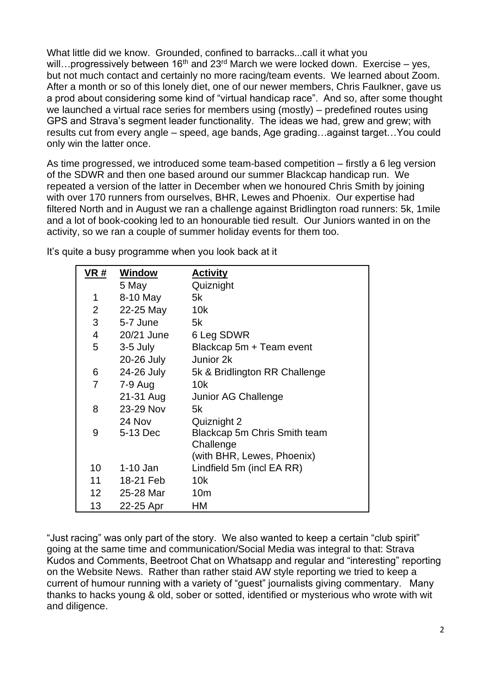What little did we know. Grounded, confined to barracks...call it what you will...progressively between 16<sup>th</sup> and 23<sup>rd</sup> March we were locked down. Exercise – yes, but not much contact and certainly no more racing/team events. We learned about Zoom. After a month or so of this lonely diet, one of our newer members, Chris Faulkner, gave us a prod about considering some kind of "virtual handicap race". And so, after some thought we launched a virtual race series for members using (mostly) – predefined routes using GPS and Strava's segment leader functionality. The ideas we had, grew and grew; with results cut from every angle – speed, age bands, Age grading…against target…You could only win the latter once.

As time progressed, we introduced some team-based competition – firstly a 6 leg version of the SDWR and then one based around our summer Blackcap handicap run. We repeated a version of the latter in December when we honoured Chris Smith by joining with over 170 runners from ourselves, BHR, Lewes and Phoenix. Our expertise had filtered North and in August we ran a challenge against Bridlington road runners: 5k, 1mile and a lot of book-cooking led to an honourable tied result. Our Juniors wanted in on the activity, so we ran a couple of summer holiday events for them too.

| VR #            | Window     | <b>Activity</b>               |
|-----------------|------------|-------------------------------|
|                 | 5 May      | Quiznight                     |
| 1               | 8-10 May   | 5k                            |
| 2 <sup>1</sup>  | 22-25 May  | 10k                           |
| 3               | 5-7 June   | 5k                            |
| $\overline{4}$  | 20/21 June | 6 Leg SDWR                    |
| 5               | 3-5 July   | Blackcap 5m + Team event      |
|                 | 20-26 July | Junior 2k                     |
| 6               | 24-26 July | 5k & Bridlington RR Challenge |
| $\overline{7}$  | 7-9 Aug    | 10k                           |
|                 | 21-31 Aug  | Junior AG Challenge           |
| 8               | 23-29 Nov  | 5k                            |
|                 | 24 Nov     | Quiznight 2                   |
| 9               | 5-13 Dec   | Blackcap 5m Chris Smith team  |
|                 |            | Challenge                     |
|                 |            | (with BHR, Lewes, Phoenix)    |
| 10 <sup>°</sup> | $1-10$ Jan | Lindfield 5m (incl EA RR)     |
| 11              | 18-21 Feb  | 10k                           |
| 12 <sup>2</sup> | 25-28 Mar  | 10 <sub>m</sub>               |
| 13              | 22-25 Apr  | НM                            |

It's quite a busy programme when you look back at it

"Just racing" was only part of the story. We also wanted to keep a certain "club spirit" going at the same time and communication/Social Media was integral to that: Strava Kudos and Comments, Beetroot Chat on Whatsapp and regular and "interesting" reporting on the Website News. Rather than rather staid AW style reporting we tried to keep a current of humour running with a variety of "guest" journalists giving commentary. Many thanks to hacks young & old, sober or sotted, identified or mysterious who wrote with wit and diligence.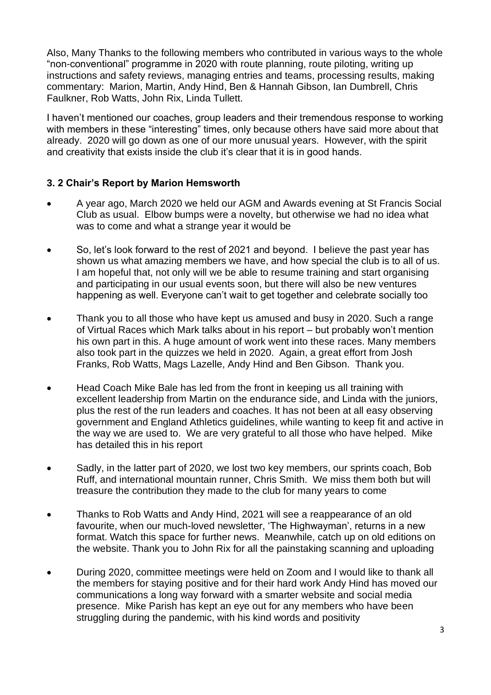Also, Many Thanks to the following members who contributed in various ways to the whole "non-conventional" programme in 2020 with route planning, route piloting, writing up instructions and safety reviews, managing entries and teams, processing results, making commentary: Marion, Martin, Andy Hind, Ben & Hannah Gibson, Ian Dumbrell, Chris Faulkner, Rob Watts, John Rix, Linda Tullett.

I haven't mentioned our coaches, group leaders and their tremendous response to working with members in these "interesting" times, only because others have said more about that already. 2020 will go down as one of our more unusual years. However, with the spirit and creativity that exists inside the club it's clear that it is in good hands.

## **3. 2 Chair's Report by Marion Hemsworth**

- A year ago, March 2020 we held our AGM and Awards evening at St Francis Social Club as usual. Elbow bumps were a novelty, but otherwise we had no idea what was to come and what a strange year it would be
- So, let's look forward to the rest of 2021 and beyond. I believe the past year has shown us what amazing members we have, and how special the club is to all of us. I am hopeful that, not only will we be able to resume training and start organising and participating in our usual events soon, but there will also be new ventures happening as well. Everyone can't wait to get together and celebrate socially too
- Thank you to all those who have kept us amused and busy in 2020. Such a range of Virtual Races which Mark talks about in his report – but probably won't mention his own part in this. A huge amount of work went into these races. Many members also took part in the quizzes we held in 2020. Again, a great effort from Josh Franks, Rob Watts, Mags Lazelle, Andy Hind and Ben Gibson. Thank you.
- Head Coach Mike Bale has led from the front in keeping us all training with excellent leadership from Martin on the endurance side, and Linda with the juniors, plus the rest of the run leaders and coaches. It has not been at all easy observing government and England Athletics guidelines, while wanting to keep fit and active in the way we are used to. We are very grateful to all those who have helped. Mike has detailed this in his report
- Sadly, in the latter part of 2020, we lost two key members, our sprints coach, Bob Ruff, and international mountain runner, Chris Smith. We miss them both but will treasure the contribution they made to the club for many years to come
- Thanks to Rob Watts and Andy Hind, 2021 will see a reappearance of an old favourite, when our much-loved newsletter, 'The Highwayman', returns in a new format. Watch this space for further news. Meanwhile, catch up on old editions on the website. Thank you to John Rix for all the painstaking scanning and uploading
- During 2020, committee meetings were held on Zoom and I would like to thank all the members for staying positive and for their hard work Andy Hind has moved our communications a long way forward with a smarter website and social media presence. Mike Parish has kept an eye out for any members who have been struggling during the pandemic, with his kind words and positivity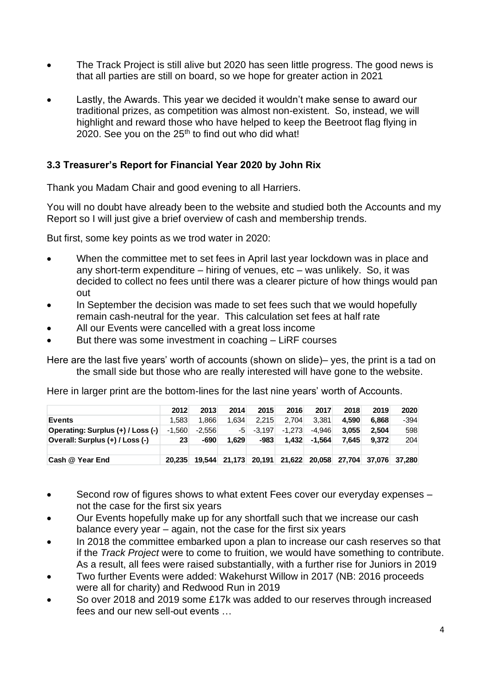- The Track Project is still alive but 2020 has seen little progress. The good news is that all parties are still on board, so we hope for greater action in 2021
- Lastly, the Awards. This year we decided it wouldn't make sense to award our traditional prizes, as competition was almost non-existent. So, instead, we will highlight and reward those who have helped to keep the Beetroot flag flying in 2020. See you on the  $25<sup>th</sup>$  to find out who did what!

## **3.3 Treasurer's Report for Financial Year 2020 by John Rix**

Thank you Madam Chair and good evening to all Harriers.

You will no doubt have already been to the website and studied both the Accounts and my Report so I will just give a brief overview of cash and membership trends.

But first, some key points as we trod water in 2020:

- When the committee met to set fees in April last year lockdown was in place and any short-term expenditure – hiring of venues, etc – was unlikely. So, it was decided to collect no fees until there was a clearer picture of how things would pan out
- In September the decision was made to set fees such that we would hopefully remain cash-neutral for the year. This calculation set fees at half rate
- All our Events were cancelled with a great loss income
- But there was some investment in coaching LiRF courses

Here are the last five years' worth of accounts (shown on slide)– yes, the print is a tad on the small side but those who are really interested will have gone to the website.

Here in larger print are the bottom-lines for the last nine years' worth of Accounts.

|                                   | 2012     | 2013     | 2014                 | 2015     | 2016     | 2017                 | 2018  | 2019          | 2020 |
|-----------------------------------|----------|----------|----------------------|----------|----------|----------------------|-------|---------------|------|
| <b>Events</b>                     | 1.583    | 1.866    | 1.634                | 2.215    | 2.704    | 3.381                | 4.590 | 6.868         | -394 |
| Operating: Surplus (+) / Loss (-) | $-1.560$ | $-2.556$ | -51                  | $-3.197$ | $-1.273$ | -4.946               | 3.055 | 2.504         | 598  |
| Overall: Surplus (+) / Loss (-)   | 23       | $-690$   | 1.629                | $-983$   | 1.432    | $-1.564$             | 7.645 | 9.372         | 204  |
|                                   |          |          |                      |          |          |                      |       |               |      |
| Cash @ Year End                   | 20.235   |          | 19,544 21,173 20,191 |          |          | 21,622 20,058 27,704 |       | 37.076 37.280 |      |

- Second row of figures shows to what extent Fees cover our everyday expenses not the case for the first six years
- Our Events hopefully make up for any shortfall such that we increase our cash balance every year – again, not the case for the first six years
- In 2018 the committee embarked upon a plan to increase our cash reserves so that if the *Track Project* were to come to fruition, we would have something to contribute. As a result, all fees were raised substantially, with a further rise for Juniors in 2019
- Two further Events were added: Wakehurst Willow in 2017 (NB: 2016 proceeds were all for charity) and Redwood Run in 2019
- So over 2018 and 2019 some £17k was added to our reserves through increased fees and our new sell-out events …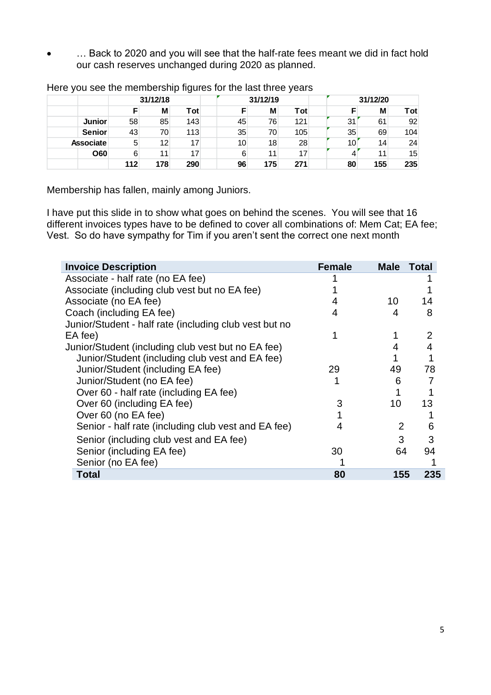• … Back to 2020 and you will see that the half-rate fees meant we did in fact hold our cash reserves unchanged during 2020 as planned.

|                  | 31/12/18 |                   | 31/12/19 |    | 31/12/20 |     |    |     |     |
|------------------|----------|-------------------|----------|----|----------|-----|----|-----|-----|
|                  |          | Μ                 | Tot      |    | M        | Tot |    | M   | Tot |
| <b>Junior</b>    | 58       | 85                | 143      | 45 | 76       | 121 | 31 | 61  | 92  |
| <b>Senior</b>    | 43       | 70                | 113      | 35 | 70       | 105 | 35 | 69  | 104 |
| <b>Associate</b> | 5        | $12 \overline{ }$ | 17       | 10 | 18       | 28  | 10 | 14  | 24  |
| <b>O60</b>       | 6        |                   | 17       |    | 11       | 17  |    | 11  | 15  |
|                  | 112      | 178               | 290      | 96 | 175      | 271 | 80 | 155 | 235 |

Here you see the membership figures for the last three years

Membership has fallen, mainly among Juniors.

I have put this slide in to show what goes on behind the scenes. You will see that 16 different invoices types have to be defined to cover all combinations of: Mem Cat; EA fee; Vest. So do have sympathy for Tim if you aren't sent the correct one next month

| <b>Invoice Description</b>                             | <b>Female</b> | <b>Male</b> | <b>Total</b> |
|--------------------------------------------------------|---------------|-------------|--------------|
| Associate - half rate (no EA fee)                      |               |             |              |
| Associate (including club vest but no EA fee)          |               |             |              |
| Associate (no EA fee)                                  |               | 10          | 14           |
| Coach (including EA fee)                               |               |             | 8            |
| Junior/Student - half rate (including club vest but no |               |             |              |
| EA fee)                                                |               |             | 2            |
| Junior/Student (including club vest but no EA fee)     |               |             |              |
| Junior/Student (including club vest and EA fee)        |               |             |              |
| Junior/Student (including EA fee)                      | 29            | 49          | 78           |
| Junior/Student (no EA fee)                             |               | 6           |              |
| Over 60 - half rate (including EA fee)                 |               |             |              |
| Over 60 (including EA fee)                             |               | 10          | 13           |
| Over 60 (no EA fee)                                    |               |             |              |
| Senior - half rate (including club vest and EA fee)    | 4             | 2           | 6            |
| Senior (including club vest and EA fee)                |               | 3           | 3            |
| Senior (including EA fee)                              | 30            | 64          | 94           |
| Senior (no EA fee)                                     |               |             |              |
| <b>Total</b>                                           | 80            | 155         | 235          |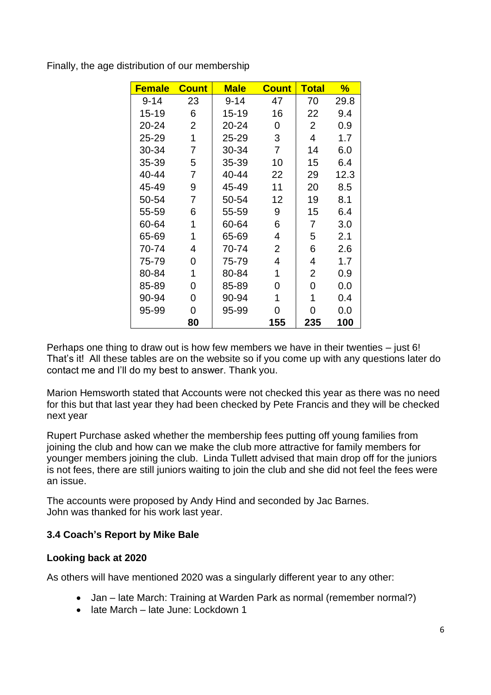| <b>Female</b> | <b>Count</b>   | <b>Male</b> | <b>Count</b>   | <u>Total</u>   | ℅    |
|---------------|----------------|-------------|----------------|----------------|------|
| $9 - 14$      | 23             | $9 - 14$    | 47             | 70             | 29.8 |
| $15 - 19$     | 6              | 15-19       | 16             | 22             | 9.4  |
| 20-24         | $\overline{2}$ | 20-24       | 0              | $\overline{2}$ | 0.9  |
| 25-29         | 1              | 25-29       | 3              | $\overline{4}$ | 1.7  |
| 30-34         | 7              | 30-34       | $\overline{7}$ | 14             | 6.0  |
| 35-39         | 5              | 35-39       | 10             | 15             | 6.4  |
| 40-44         | 7              | 40-44       | 22             | 29             | 12.3 |
| 45-49         | 9              | 45-49       | 11             | 20             | 8.5  |
| 50-54         | 7              | 50-54       | 12             | 19             | 8.1  |
| 55-59         | 6              | 55-59       | 9              | 15             | 6.4  |
| 60-64         | 1              | 60-64       | 6              | 7              | 3.0  |
| 65-69         | 1              | 65-69       | 4              | 5              | 2.1  |
| 70-74         | 4              | 70-74       | $\overline{2}$ | 6              | 2.6  |
| 75-79         | 0              | 75-79       | 4              | 4              | 1.7  |
| 80-84         | 1              | 80-84       | 1              | $\overline{2}$ | 0.9  |
| 85-89         | 0              | 85-89       | 0              | 0              | 0.0  |
| 90-94         | 0              | 90-94       | 1              | 1              | 0.4  |
| 95-99         | 0              | 95-99       | 0              | 0              | 0.0  |
|               | 80             |             | 155            | 235            | 100  |

Finally, the age distribution of our membership

Perhaps one thing to draw out is how few members we have in their twenties – just 6! That's it! All these tables are on the website so if you come up with any questions later do contact me and I'll do my best to answer. Thank you.

Marion Hemsworth stated that Accounts were not checked this year as there was no need for this but that last year they had been checked by Pete Francis and they will be checked next year

Rupert Purchase asked whether the membership fees putting off young families from joining the club and how can we make the club more attractive for family members for younger members joining the club. Linda Tullett advised that main drop off for the juniors is not fees, there are still juniors waiting to join the club and she did not feel the fees were an issue.

The accounts were proposed by Andy Hind and seconded by Jac Barnes. John was thanked for his work last year.

## **3.4 Coach's Report by Mike Bale**

## **Looking back at 2020**

As others will have mentioned 2020 was a singularly different year to any other:

- Jan late March: Training at Warden Park as normal (remember normal?)
- late March late June: Lockdown 1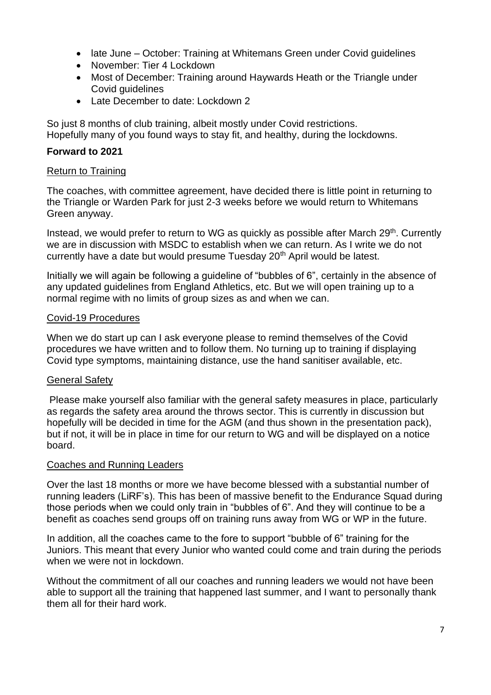- late June October: Training at Whitemans Green under Covid quidelines
- November: Tier 4 Lockdown
- Most of December: Training around Haywards Heath or the Triangle under Covid guidelines
- Late December to date: Lockdown 2

So just 8 months of club training, albeit mostly under Covid restrictions. Hopefully many of you found ways to stay fit, and healthy, during the lockdowns.

## **Forward to 2021**

## Return to Training

The coaches, with committee agreement, have decided there is little point in returning to the Triangle or Warden Park for just 2-3 weeks before we would return to Whitemans Green anyway.

Instead, we would prefer to return to WG as quickly as possible after March 29<sup>th</sup>. Currently we are in discussion with MSDC to establish when we can return. As I write we do not currently have a date but would presume Tuesday 20<sup>th</sup> April would be latest.

Initially we will again be following a guideline of "bubbles of 6", certainly in the absence of any updated guidelines from England Athletics, etc. But we will open training up to a normal regime with no limits of group sizes as and when we can.

## Covid-19 Procedures

When we do start up can I ask everyone please to remind themselves of the Covid procedures we have written and to follow them. No turning up to training if displaying Covid type symptoms, maintaining distance, use the hand sanitiser available, etc.

## General Safety

Please make yourself also familiar with the general safety measures in place, particularly as regards the safety area around the throws sector. This is currently in discussion but hopefully will be decided in time for the AGM (and thus shown in the presentation pack), but if not, it will be in place in time for our return to WG and will be displayed on a notice board.

## Coaches and Running Leaders

Over the last 18 months or more we have become blessed with a substantial number of running leaders (LiRF's). This has been of massive benefit to the Endurance Squad during those periods when we could only train in "bubbles of 6". And they will continue to be a benefit as coaches send groups off on training runs away from WG or WP in the future.

In addition, all the coaches came to the fore to support "bubble of 6" training for the Juniors. This meant that every Junior who wanted could come and train during the periods when we were not in lockdown.

Without the commitment of all our coaches and running leaders we would not have been able to support all the training that happened last summer, and I want to personally thank them all for their hard work.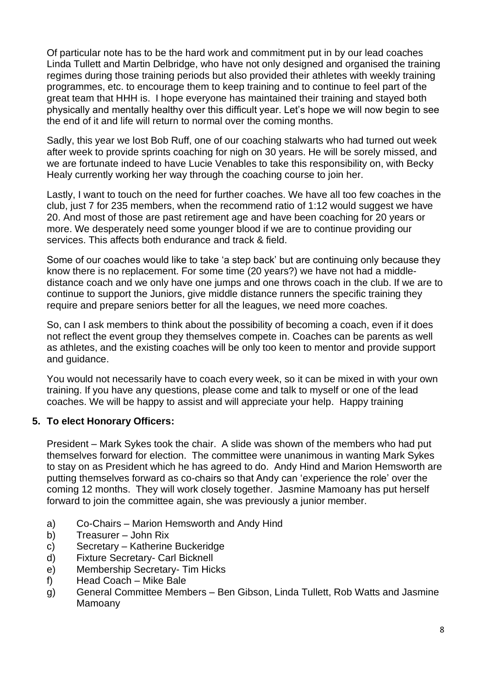Of particular note has to be the hard work and commitment put in by our lead coaches Linda Tullett and Martin Delbridge, who have not only designed and organised the training regimes during those training periods but also provided their athletes with weekly training programmes, etc. to encourage them to keep training and to continue to feel part of the great team that HHH is. I hope everyone has maintained their training and stayed both physically and mentally healthy over this difficult year. Let's hope we will now begin to see the end of it and life will return to normal over the coming months.

Sadly, this year we lost Bob Ruff, one of our coaching stalwarts who had turned out week after week to provide sprints coaching for nigh on 30 years. He will be sorely missed, and we are fortunate indeed to have Lucie Venables to take this responsibility on, with Becky Healy currently working her way through the coaching course to join her.

Lastly, I want to touch on the need for further coaches. We have all too few coaches in the club, just 7 for 235 members, when the recommend ratio of 1:12 would suggest we have 20. And most of those are past retirement age and have been coaching for 20 years or more. We desperately need some younger blood if we are to continue providing our services. This affects both endurance and track & field.

Some of our coaches would like to take 'a step back' but are continuing only because they know there is no replacement. For some time (20 years?) we have not had a middledistance coach and we only have one jumps and one throws coach in the club. If we are to continue to support the Juniors, give middle distance runners the specific training they require and prepare seniors better for all the leagues, we need more coaches.

So, can I ask members to think about the possibility of becoming a coach, even if it does not reflect the event group they themselves compete in. Coaches can be parents as well as athletes, and the existing coaches will be only too keen to mentor and provide support and guidance.

You would not necessarily have to coach every week, so it can be mixed in with your own training. If you have any questions, please come and talk to myself or one of the lead coaches. We will be happy to assist and will appreciate your help. Happy training

## **5. To elect Honorary Officers:**

President – Mark Sykes took the chair. A slide was shown of the members who had put themselves forward for election. The committee were unanimous in wanting Mark Sykes to stay on as President which he has agreed to do. Andy Hind and Marion Hemsworth are putting themselves forward as co-chairs so that Andy can 'experience the role' over the coming 12 months. They will work closely together. Jasmine Mamoany has put herself forward to join the committee again, she was previously a junior member.

- a) Co-Chairs Marion Hemsworth and Andy Hind
- b) Treasurer John Rix
- c) Secretary Katherine Buckeridge
- d) Fixture Secretary- Carl Bicknell
- e) Membership Secretary- Tim Hicks
- f) Head Coach Mike Bale
- g) General Committee Members Ben Gibson, Linda Tullett, Rob Watts and Jasmine Mamoany